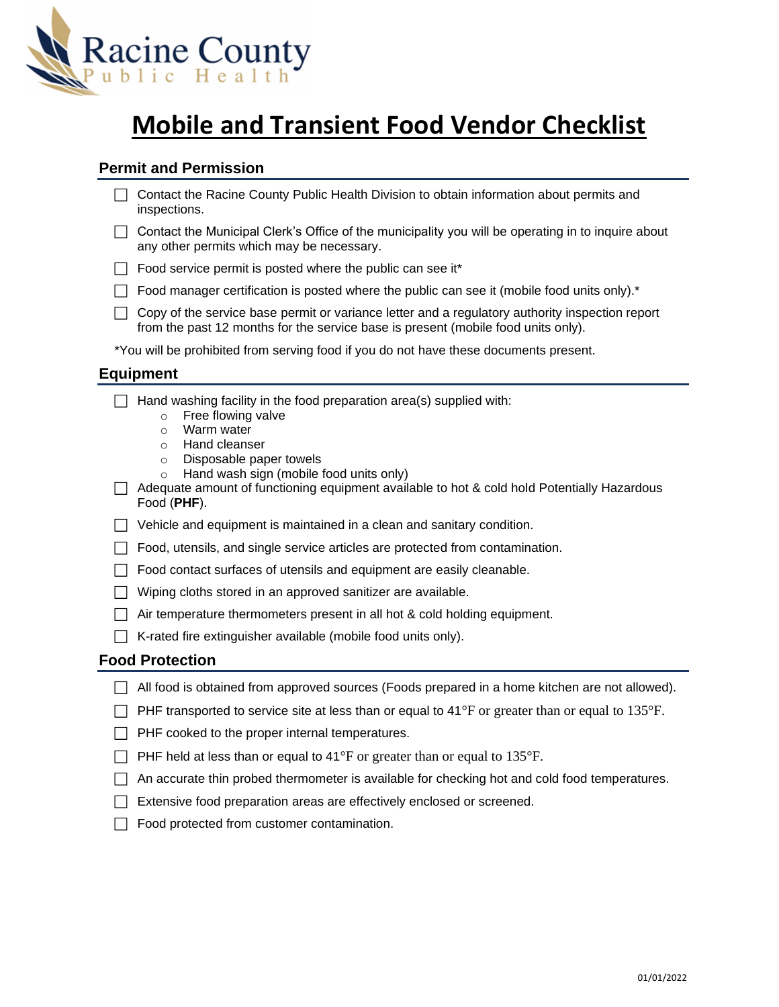

# **Mobile and Transient Food Vendor Checklist**

## **Permit and Permission**

| □ Contact the Racine County Public Health Division to obtain information about permits and |
|--------------------------------------------------------------------------------------------|
| inspections.                                                                               |

- $\Box$  Contact the Municipal Clerk's Office of the municipality you will be operating in to inquire about any other permits which may be necessary.
- $\Box$  Food service permit is posted where the public can see it\*
- $\Box$  Food manager certification is posted where the public can see it (mobile food units only).\*
- $\Box$  Copy of the service base permit or variance letter and a regulatory authority inspection report from the past 12 months for the service base is present (mobile food units only).

\*You will be prohibited from serving food if you do not have these documents present.

### **Equipment**

 $\Box$  Hand washing facility in the food preparation area(s) supplied with:

- o Free flowing valve
- o Warm water
- o Hand cleanser
- o Disposable paper towels
- o Hand wash sign (mobile food units only)

 $\Box$  Adequate amount of functioning equipment available to hot & cold hold Potentially Hazardous Food (**PHF**).

 $\Box$  Vehicle and equipment is maintained in a clean and sanitary condition.

 $\Box$  Food, utensils, and single service articles are protected from contamination.

- $\Box$  Food contact surfaces of utensils and equipment are easily cleanable.
- $\Box$  Wiping cloths stored in an approved sanitizer are available.
- $\Box$  Air temperature thermometers present in all hot & cold holding equipment.
- $\Box$  K-rated fire extinguisher available (mobile food units only).

#### **Food Protection**

| $\Box$ All food is obtained from approved sources (Foods prepared in a home kitchen are not allowed). |  |
|-------------------------------------------------------------------------------------------------------|--|
|-------------------------------------------------------------------------------------------------------|--|

- **PHF transported to service site at less than or equal to 41°F** or greater than or equal to 135°F.
- $\Box$  PHF cooked to the proper internal temperatures.
- $\Box$  PHF held at less than or equal to 41°F or greater than or equal to 135°F.
- $\Box$  An accurate thin probed thermometer is available for checking hot and cold food temperatures.
- Extensive food preparation areas are effectively enclosed or screened.
- $\Box$  Food protected from customer contamination.